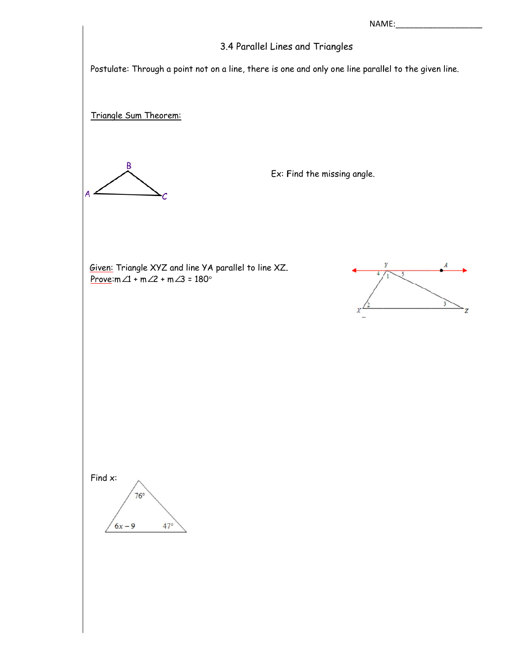NAME:

## 3.4 Parallel Lines and Triangles

Postulate: Through a point not on a line, there is one and only one line parallel to the given line.

Triangle Sum Theorem:



Ex: Find the missing angle.

Given: Triangle XYZ and line YA parallel to line XZ. Prove: $m\angle 1 + m\angle 2 + m\angle 3 = 180^\circ$ 



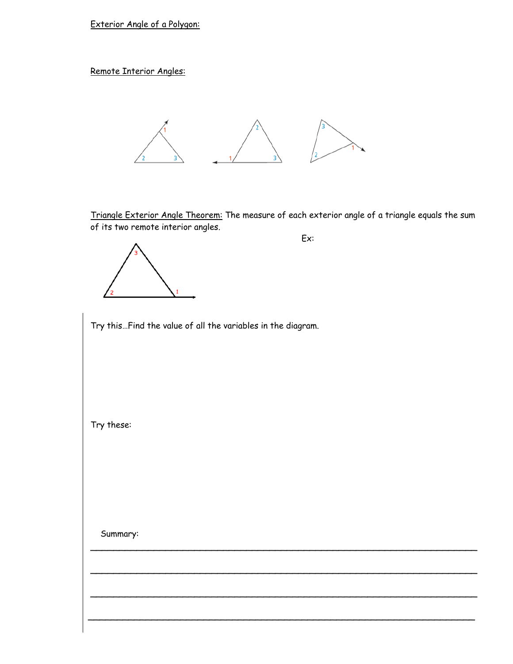Exterior Angle of a Polygon:

Remote Interior Angles:



Triangle Exterior Angle Theorem: The measure of each exterior angle of a triangle equals the sum of its two remote interior angles.

 $\overline{\phantom{a}}$ 

 $\overline{\phantom{a}}$ 

 $\sim$  . The component of the component of the component of the component of the component of the component of the component of the component of the component of the component of the component of the component of the compon

\_\_\_\_\_\_\_\_\_\_\_\_\_\_\_\_\_\_\_\_\_\_\_\_\_\_\_\_\_\_\_\_\_\_\_\_\_\_\_\_\_\_\_\_\_\_\_\_\_\_\_\_\_\_\_\_\_\_\_\_\_\_\_\_\_\_\_



Try this…Find the value of all the variables in the diagram.

Try these:

Summary: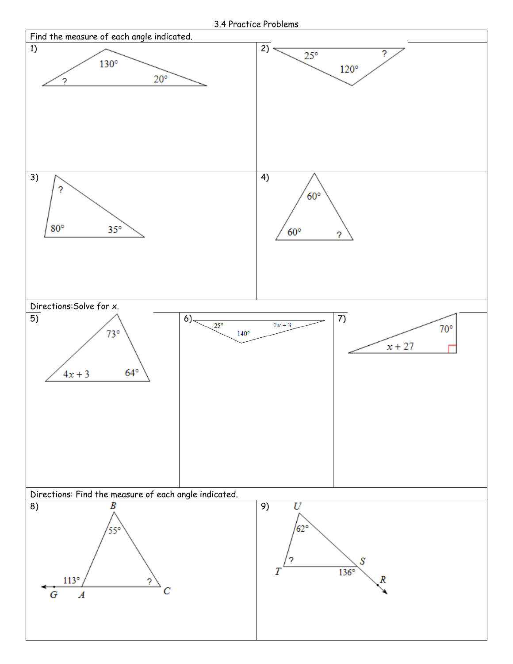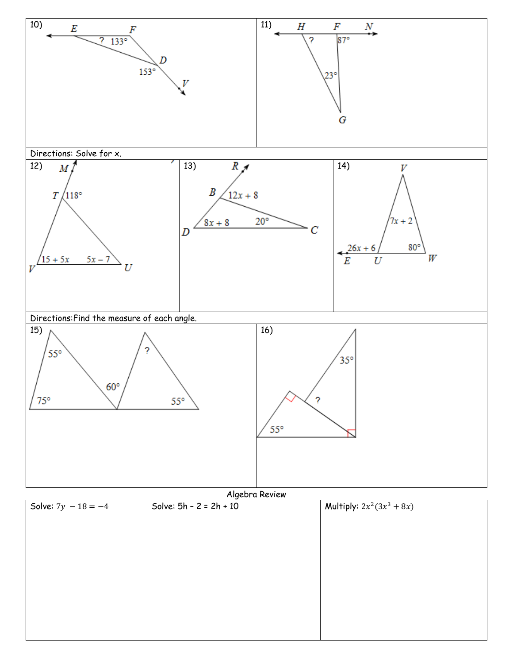

Algebra Review

| Solve: $7y - 18 = -4$ | Solve: $5h - 2 = 2h + 10$ | <b>Multiply:</b> $2x^2(3x^3 + 8x)$ |  |
|-----------------------|---------------------------|------------------------------------|--|
|                       |                           |                                    |  |
|                       |                           |                                    |  |
|                       |                           |                                    |  |
|                       |                           |                                    |  |
|                       |                           |                                    |  |
|                       |                           |                                    |  |
|                       |                           |                                    |  |
|                       |                           |                                    |  |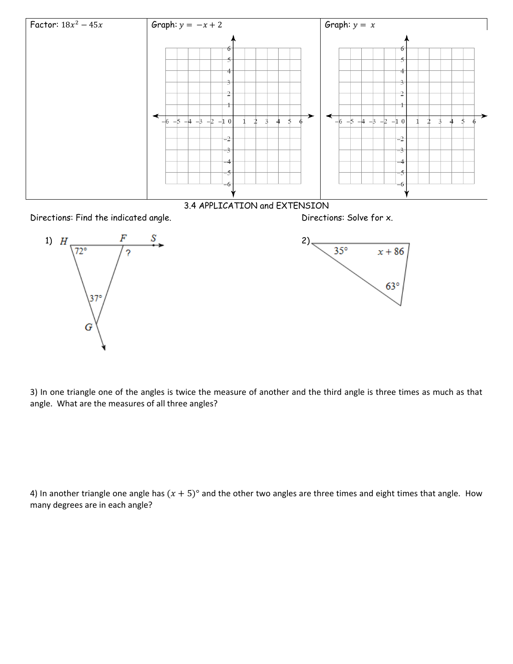



3) In one triangle one of the angles is twice the measure of another and the third angle is three times as much as that angle. What are the measures of all three angles?

4) In another triangle one angle has  $(x + 5)°$  and the other two angles are three times and eight times that angle. How many degrees are in each angle?